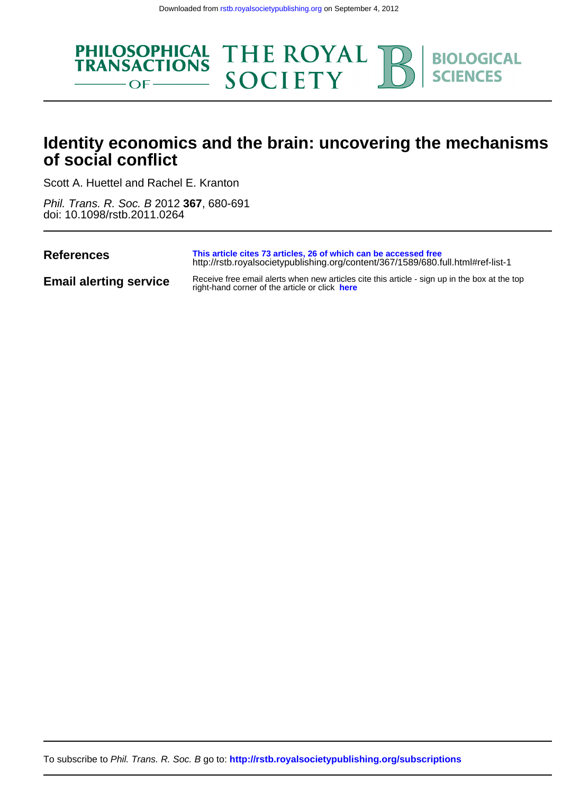

## **of social conflict Identity economics and the brain: uncovering the mechanisms**

Scott A. Huettel and Rachel E. Kranton

doi: 10.1098/rstb.2011.0264 Phil. Trans. R. Soc. B 2012 **367**, 680-691

**References** [This article cites 73 articles, 26 of which can be accessed free](http://rstb.royalsocietypublishing.org/content/367/1589/680.full.html#ref-list-1)<br>http://rstb.royalsocietypublishing.org/content/367/1589/680.full.html#ref-list-1

**Email alerting service** Receive free email alerts when new articles or click **[here](http://rstb.royalsocietypublishing.org/cgi/alerts/ctalert?alertType=citedby&addAlert=cited_by&saveAlert=no&cited_by_criteria_resid=royptb;367/1589/680&return_type=article&return_url=http://rstb.royalsocietypublishing.org/content/367/1589/680.full.pdf)** Receive free email alerts when new articles cite this article - sign up in the box at the top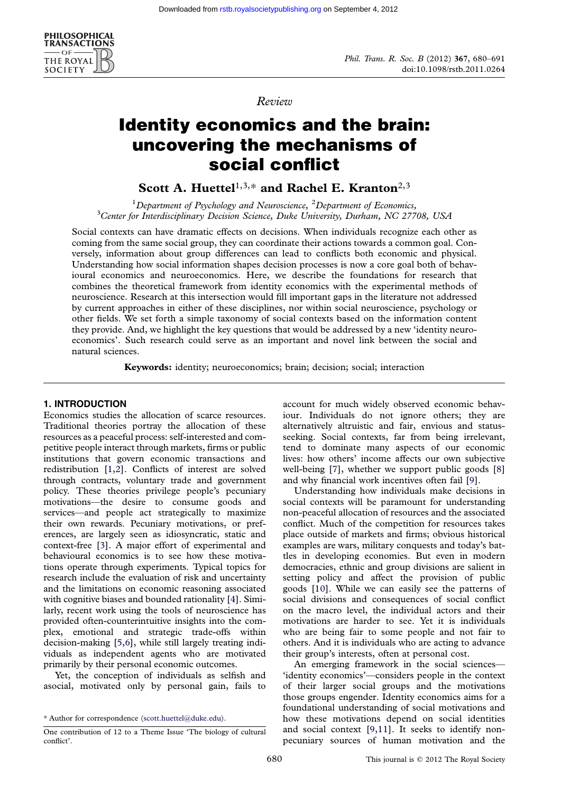

Review

# Identity economics and the brain: uncovering the mechanisms of social conflict

Scott A. Huettel<sup>1,3,\*</sup> and Rachel E. Kranton<sup>2,3</sup>

<sup>1</sup> Department of Psychology and Neuroscience, <sup>2</sup> Department of Economics,<sup>3</sup> Cantar for Interdisciplinary Decision Science, Duha Huisarcity, Durham, NG 277  ${}^{3}$ Center for Interdisciplinary Decision Science, Duke University, Durham, NC 27708, USA

Social contexts can have dramatic effects on decisions. When individuals recognize each other as coming from the same social group, they can coordinate their actions towards a common goal. Conversely, information about group differences can lead to conflicts both economic and physical. Understanding how social information shapes decision processes is now a core goal both of behavioural economics and neuroeconomics. Here, we describe the foundations for research that combines the theoretical framework from identity economics with the experimental methods of neuroscience. Research at this intersection would fill important gaps in the literature not addressed by current approaches in either of these disciplines, nor within social neuroscience, psychology or other fields. We set forth a simple taxonomy of social contexts based on the information content they provide. And, we highlight the key questions that would be addressed by a new 'identity neuroeconomics'. Such research could serve as an important and novel link between the social and natural sciences.

Keywords: identity; neuroeconomics; brain; decision; social; interaction

### 1. INTRODUCTION

Economics studies the allocation of scarce resources. Traditional theories portray the allocation of these resources as a peaceful process: self-interested and competitive people interact through markets, firms or public institutions that govern economic transactions and redistribution [\[1,2](#page-10-0)]. Conflicts of interest are solved through contracts, voluntary trade and government policy. These theories privilege people's pecuniary motivations—the desire to consume goods and services—and people act strategically to maximize their own rewards. Pecuniary motivations, or preferences, are largely seen as idiosyncratic, static and context-free [\[3\]](#page-10-0). A major effort of experimental and behavioural economics is to see how these motivations operate through experiments. Typical topics for research include the evaluation of risk and uncertainty and the limitations on economic reasoning associated with cognitive biases and bounded rationality [\[4\]](#page-10-0). Similarly, recent work using the tools of neuroscience has provided often-counterintuitive insights into the complex, emotional and strategic trade-offs within decision-making [\[5,6](#page-10-0)], while still largely treating individuals as independent agents who are motivated primarily by their personal economic outcomes.

Yet, the conception of individuals as selfish and asocial, motivated only by personal gain, fails to account for much widely observed economic behaviour. Individuals do not ignore others; they are alternatively altruistic and fair, envious and statusseeking. Social contexts, far from being irrelevant, tend to dominate many aspects of our economic lives: how others' income affects our own subjective well-being [[7](#page-10-0)], whether we support public goods [[8\]](#page-10-0) and why financial work incentives often fail [\[9\]](#page-10-0).

Understanding how individuals make decisions in social contexts will be paramount for understanding non-peaceful allocation of resources and the associated conflict. Much of the competition for resources takes place outside of markets and firms; obvious historical examples are wars, military conquests and today's battles in developing economies. But even in modern democracies, ethnic and group divisions are salient in setting policy and affect the provision of public goods [\[10](#page-10-0)]. While we can easily see the patterns of social divisions and consequences of social conflict on the macro level, the individual actors and their motivations are harder to see. Yet it is individuals who are being fair to some people and not fair to others. And it is individuals who are acting to advance their group's interests, often at personal cost.

An emerging framework in the social sciences— 'identity economics'—considers people in the context of their larger social groups and the motivations those groups engender. Identity economics aims for a foundational understanding of social motivations and how these motivations depend on social identities and social context [[9](#page-10-0),[11](#page-10-0)]. It seeks to identify nonpecuniary sources of human motivation and the

<sup>\*</sup> Author for correspondence [\(scott.huettel@duke.edu\)](mailto:scott.huettel@duke.edu).

One contribution of 12 to a Theme Issue 'The biology of cultural conflict'.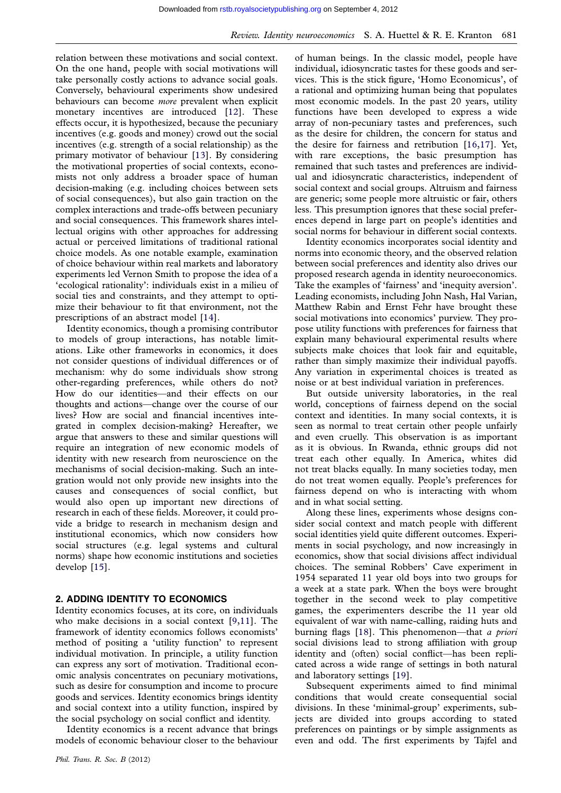relation between these motivations and social context. On the one hand, people with social motivations will take personally costly actions to advance social goals. Conversely, behavioural experiments show undesired behaviours can become more prevalent when explicit monetary incentives are introduced [\[12](#page-10-0)]. These effects occur, it is hypothesized, because the pecuniary incentives (e.g. goods and money) crowd out the social incentives (e.g. strength of a social relationship) as the primary motivator of behaviour [\[13](#page-10-0)]. By considering the motivational properties of social contexts, economists not only address a broader space of human decision-making (e.g. including choices between sets of social consequences), but also gain traction on the complex interactions and trade-offs between pecuniary and social consequences. This framework shares intellectual origins with other approaches for addressing actual or perceived limitations of traditional rational choice models. As one notable example, examination of choice behaviour within real markets and laboratory experiments led Vernon Smith to propose the idea of a 'ecological rationality': individuals exist in a milieu of social ties and constraints, and they attempt to optimize their behaviour to fit that environment, not the prescriptions of an abstract model [[14\]](#page-10-0).

Identity economics, though a promising contributor to models of group interactions, has notable limitations. Like other frameworks in economics, it does not consider questions of individual differences or of mechanism: why do some individuals show strong other-regarding preferences, while others do not? How do our identities—and their effects on our thoughts and actions—change over the course of our lives? How are social and financial incentives integrated in complex decision-making? Hereafter, we argue that answers to these and similar questions will require an integration of new economic models of identity with new research from neuroscience on the mechanisms of social decision-making. Such an integration would not only provide new insights into the causes and consequences of social conflict, but would also open up important new directions of research in each of these fields. Moreover, it could provide a bridge to research in mechanism design and institutional economics, which now considers how social structures (e.g. legal systems and cultural norms) shape how economic institutions and societies develop [[15\]](#page-10-0).

#### 2. ADDING IDENTITY TO ECONOMICS

Identity economics focuses, at its core, on individuals who make decisions in a social context [\[9,11\]](#page-10-0). The framework of identity economics follows economists' method of positing a 'utility function' to represent individual motivation. In principle, a utility function can express any sort of motivation. Traditional economic analysis concentrates on pecuniary motivations, such as desire for consumption and income to procure goods and services. Identity economics brings identity and social context into a utility function, inspired by the social psychology on social conflict and identity.

Identity economics is a recent advance that brings models of economic behaviour closer to the behaviour

of human beings. In the classic model, people have individual, idiosyncratic tastes for these goods and services. This is the stick figure, 'Homo Economicus', of a rational and optimizing human being that populates most economic models. In the past 20 years, utility functions have been developed to express a wide array of non-pecuniary tastes and preferences, such as the desire for children, the concern for status and the desire for fairness and retribution [\[16,17](#page-10-0)]. Yet, with rare exceptions, the basic presumption has remained that such tastes and preferences are individual and idiosyncratic characteristics, independent of social context and social groups. Altruism and fairness are generic; some people more altruistic or fair, others less. This presumption ignores that these social preferences depend in large part on people's identities and social norms for behaviour in different social contexts.

Identity economics incorporates social identity and norms into economic theory, and the observed relation between social preferences and identity also drives our proposed research agenda in identity neuroeconomics. Take the examples of 'fairness' and 'inequity aversion'. Leading economists, including John Nash, Hal Varian, Matthew Rabin and Ernst Fehr have brought these social motivations into economics' purview. They propose utility functions with preferences for fairness that explain many behavioural experimental results where subjects make choices that look fair and equitable, rather than simply maximize their individual payoffs. Any variation in experimental choices is treated as noise or at best individual variation in preferences.

But outside university laboratories, in the real world, conceptions of fairness depend on the social context and identities. In many social contexts, it is seen as normal to treat certain other people unfairly and even cruelly. This observation is as important as it is obvious. In Rwanda, ethnic groups did not treat each other equally. In America, whites did not treat blacks equally. In many societies today, men do not treat women equally. People's preferences for fairness depend on who is interacting with whom and in what social setting.

Along these lines, experiments whose designs consider social context and match people with different social identities yield quite different outcomes. Experiments in social psychology, and now increasingly in economics, show that social divisions affect individual choices. The seminal Robbers' Cave experiment in 1954 separated 11 year old boys into two groups for a week at a state park. When the boys were brought together in the second week to play competitive games, the experimenters describe the 11 year old equivalent of war with name-calling, raiding huts and burning flags [\[18](#page-10-0)]. This phenomenon—that a priori social divisions lead to strong affiliation with group identity and (often) social conflict—has been replicated across a wide range of settings in both natural and laboratory settings [\[19](#page-10-0)].

Subsequent experiments aimed to find minimal conditions that would create consequential social divisions. In these 'minimal-group' experiments, subjects are divided into groups according to stated preferences on paintings or by simple assignments as even and odd. The first experiments by Tajfel and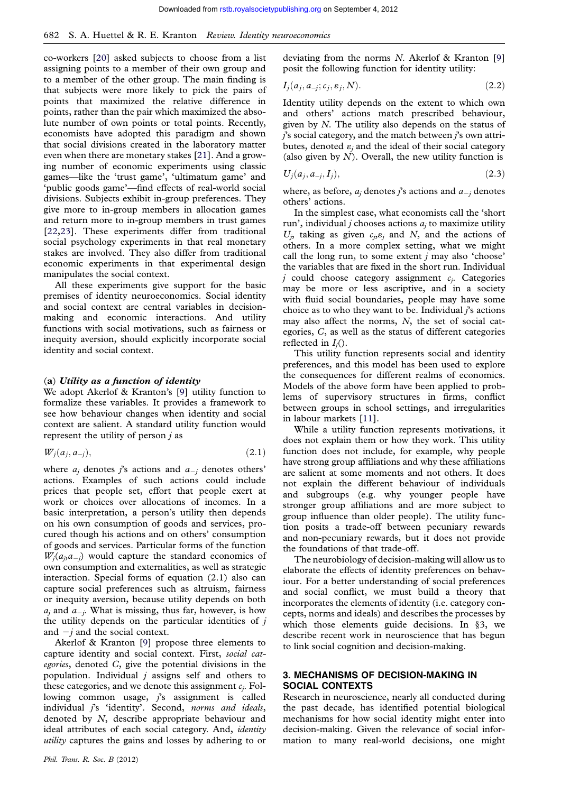co-workers [[20\]](#page-10-0) asked subjects to choose from a list assigning points to a member of their own group and to a member of the other group. The main finding is that subjects were more likely to pick the pairs of points that maximized the relative difference in points, rather than the pair which maximized the absolute number of own points or total points. Recently, economists have adopted this paradigm and shown that social divisions created in the laboratory matter even when there are monetary stakes [\[21](#page-10-0)]. And a growing number of economic experiments using classic games—like the 'trust game', 'ultimatum game' and 'public goods game'—find effects of real-world social divisions. Subjects exhibit in-group preferences. They give more to in-group members in allocation games and return more to in-group members in trust games [\[22](#page-10-0),[23](#page-10-0)]. These experiments differ from traditional social psychology experiments in that real monetary stakes are involved. They also differ from traditional economic experiments in that experimental design manipulates the social context.

All these experiments give support for the basic premises of identity neuroeconomics. Social identity and social context are central variables in decisionmaking and economic interactions. And utility functions with social motivations, such as fairness or inequity aversion, should explicitly incorporate social identity and social context.

#### (a) Utility as a function of identity

We adopt Akerlof & Kranton's [[9](#page-10-0)] utility function to formalize these variables. It provides a framework to see how behaviour changes when identity and social context are salient. A standard utility function would represent the utility of person  $j$  as

$$
W_j(a_j, a_{-j}), \tag{2.1}
$$

where  $a_i$  denotes j's actions and  $a_{-i}$  denotes others' actions. Examples of such actions could include prices that people set, effort that people exert at work or choices over allocations of incomes. In a basic interpretation, a person's utility then depends on his own consumption of goods and services, procured though his actions and on others' consumption of goods and services. Particular forms of the function  $W_j(a_j, a_{-j})$  would capture the standard economics of own consumption and externalities, as well as strategic interaction. Special forms of equation (2.1) also can capture social preferences such as altruism, fairness or inequity aversion, because utility depends on both  $a_j$  and  $a_{-j}$ . What is missing, thus far, however, is how the utility depends on the particular identities of  $j$ and  $-j$  and the social context.

Akerlof & Kranton [[9](#page-10-0)] propose three elements to capture identity and social context. First, social categories, denoted  $C$ , give the potential divisions in the population. Individual  $j$  assigns self and others to these categories, and we denote this assignment  $c_j$ . Following common usage,  $\hat{j}$ 's assignment is called individual j's 'identity'. Second, norms and ideals, denoted by N, describe appropriate behaviour and ideal attributes of each social category. And, *identity* utility captures the gains and losses by adhering to or deviating from the norms N. Akerlof & Kranton [[9\]](#page-10-0) posit the following function for identity utility:

$$
I_j(a_j, a_{-j}; c_j, \varepsilon_j, N). \tag{2.2}
$$

Identity utility depends on the extent to which own and others' actions match prescribed behaviour, given by N. The utility also depends on the status of  $j$ 's social category, and the match between  $j$ 's own attributes, denoted  $\varepsilon_i$  and the ideal of their social category (also given by  $N$ ). Overall, the new utility function is

$$
U_j(a_j, a_{-j}, I_j), \tag{2.3}
$$

where, as before,  $a_i$  denotes j's actions and  $a_{-i}$  denotes others' actions.

In the simplest case, what economists call the 'short run', individual *j* chooses actions  $a_i$  to maximize utility  $U_j$ , taking as given  $c_j$ ,  $\varepsilon_j$  and N, and the actions of others. In a more complex setting, what we might call the long run, to some extent  $j$  may also 'choose' the variables that are fixed in the short run. Individual j could choose category assignment  $c_j$ . Categories may be more or less ascriptive, and in a society with fluid social boundaries, people may have some choice as to who they want to be. Individual  $j$ 's actions may also affect the norms, N, the set of social categories, C, as well as the status of different categories reflected in  $I_i()$ .

This utility function represents social and identity preferences, and this model has been used to explore the consequences for different realms of economics. Models of the above form have been applied to problems of supervisory structures in firms, conflict between groups in school settings, and irregularities in labour markets [[11](#page-10-0)].

While a utility function represents motivations, it does not explain them or how they work. This utility function does not include, for example, why people have strong group affiliations and why these affiliations are salient at some moments and not others. It does not explain the different behaviour of individuals and subgroups (e.g. why younger people have stronger group affiliations and are more subject to group influence than older people). The utility function posits a trade-off between pecuniary rewards and non-pecuniary rewards, but it does not provide the foundations of that trade-off.

The neurobiology of decision-making will allow us to elaborate the effects of identity preferences on behaviour. For a better understanding of social preferences and social conflict, we must build a theory that incorporates the elements of identity (i.e. category concepts, norms and ideals) and describes the processes by which those elements guide decisions. In §3, we describe recent work in neuroscience that has begun to link social cognition and decision-making.

#### 3. MECHANISMS OF DECISION-MAKING IN SOCIAL CONTEXTS

Research in neuroscience, nearly all conducted during the past decade, has identified potential biological mechanisms for how social identity might enter into decision-making. Given the relevance of social information to many real-world decisions, one might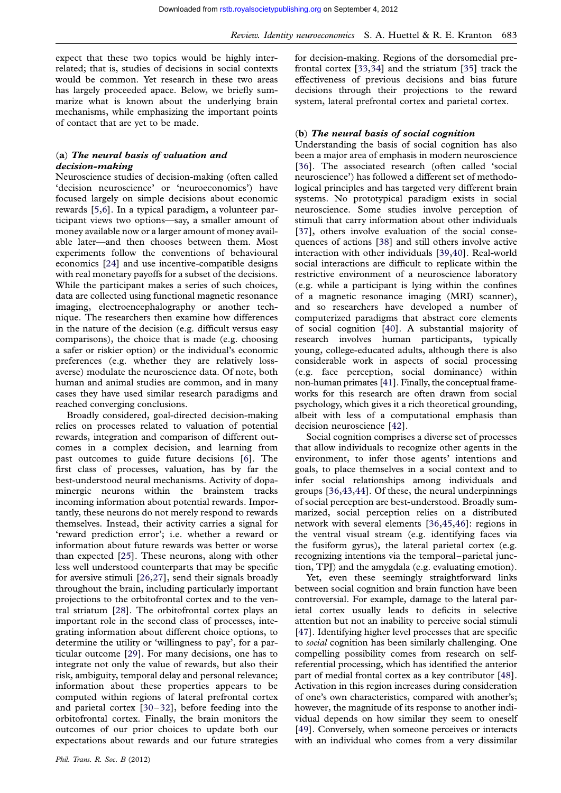expect that these two topics would be highly interrelated; that is, studies of decisions in social contexts would be common. Yet research in these two areas has largely proceeded apace. Below, we briefly summarize what is known about the underlying brain mechanisms, while emphasizing the important points of contact that are yet to be made.

## (a) The neural basis of valuation and decision-making

Neuroscience studies of decision-making (often called 'decision neuroscience' or 'neuroeconomics') have focused largely on simple decisions about economic rewards [[5,6\]](#page-10-0). In a typical paradigm, a volunteer participant views two options—say, a smaller amount of money available now or a larger amount of money available later—and then chooses between them. Most experiments follow the conventions of behavioural economics [\[24](#page-10-0)] and use incentive-compatible designs with real monetary payoffs for a subset of the decisions. While the participant makes a series of such choices, data are collected using functional magnetic resonance imaging, electroencephalography or another technique. The researchers then examine how differences in the nature of the decision (e.g. difficult versus easy comparisons), the choice that is made (e.g. choosing a safer or riskier option) or the individual's economic preferences (e.g. whether they are relatively lossaverse) modulate the neuroscience data. Of note, both human and animal studies are common, and in many cases they have used similar research paradigms and reached converging conclusions.

Broadly considered, goal-directed decision-making relies on processes related to valuation of potential rewards, integration and comparison of different outcomes in a complex decision, and learning from past outcomes to guide future decisions [[6](#page-10-0)]. The first class of processes, valuation, has by far the best-understood neural mechanisms. Activity of dopaminergic neurons within the brainstem tracks incoming information about potential rewards. Importantly, these neurons do not merely respond to rewards themselves. Instead, their activity carries a signal for 'reward prediction error'; i.e. whether a reward or information about future rewards was better or worse than expected [\[25](#page-10-0)]. These neurons, along with other less well understood counterparts that may be specific for aversive stimuli [\[26,27](#page-10-0)], send their signals broadly throughout the brain, including particularly important projections to the orbitofrontal cortex and to the ventral striatum [\[28\]](#page-10-0). The orbitofrontal cortex plays an important role in the second class of processes, integrating information about different choice options, to determine the utility or 'willingness to pay', for a particular outcome [\[29](#page-10-0)]. For many decisions, one has to integrate not only the value of rewards, but also their risk, ambiguity, temporal delay and personal relevance; information about these properties appears to be computed within regions of lateral prefrontal cortex and parietal cortex [[30](#page-10-0)–[32\]](#page-10-0), before feeding into the orbitofrontal cortex. Finally, the brain monitors the outcomes of our prior choices to update both our expectations about rewards and our future strategies for decision-making. Regions of the dorsomedial prefrontal cortex [[33,34\]](#page-10-0) and the striatum [\[35](#page-10-0)] track the effectiveness of previous decisions and bias future decisions through their projections to the reward system, lateral prefrontal cortex and parietal cortex.

## (b) The neural basis of social cognition

Understanding the basis of social cognition has also been a major area of emphasis in modern neuroscience [[36\]](#page-10-0). The associated research (often called 'social neuroscience') has followed a different set of methodological principles and has targeted very different brain systems. No prototypical paradigm exists in social neuroscience. Some studies involve perception of stimuli that carry information about other individuals [[37\]](#page-10-0), others involve evaluation of the social consequences of actions [\[38](#page-11-0)] and still others involve active interaction with other individuals [\[39,40](#page-11-0)]. Real-world social interactions are difficult to replicate within the restrictive environment of a neuroscience laboratory (e.g. while a participant is lying within the confines of a magnetic resonance imaging (MRI) scanner), and so researchers have developed a number of computerized paradigms that abstract core elements of social cognition [[40\]](#page-11-0). A substantial majority of research involves human participants, typically young, college-educated adults, although there is also considerable work in aspects of social processing (e.g. face perception, social dominance) within non-human primates [\[41](#page-11-0)]. Finally, the conceptual frameworks for this research are often drawn from social psychology, which gives it a rich theoretical grounding, albeit with less of a computational emphasis than decision neuroscience [[42\]](#page-11-0).

Social cognition comprises a diverse set of processes that allow individuals to recognize other agents in the environment, to infer those agents' intentions and goals, to place themselves in a social context and to infer social relationships among individuals and groups [\[36](#page-10-0),[43](#page-11-0),[44](#page-11-0)]. Of these, the neural underpinnings of social perception are best-understood. Broadly summarized, social perception relies on a distributed network with several elements [\[36](#page-10-0)[,45,46](#page-11-0)]: regions in the ventral visual stream (e.g. identifying faces via the fusiform gyrus), the lateral parietal cortex (e.g. recognizing intentions via the temporal-parietal junction, TPJ) and the amygdala (e.g. evaluating emotion).

Yet, even these seemingly straightforward links between social cognition and brain function have been controversial. For example, damage to the lateral parietal cortex usually leads to deficits in selective attention but not an inability to perceive social stimuli [[47\]](#page-11-0). Identifying higher level processes that are specific to social cognition has been similarly challenging. One compelling possibility comes from research on selfreferential processing, which has identified the anterior part of medial frontal cortex as a key contributor [\[48](#page-11-0)]. Activation in this region increases during consideration of one's own characteristics, compared with another's; however, the magnitude of its response to another individual depends on how similar they seem to oneself [[49\]](#page-11-0). Conversely, when someone perceives or interacts with an individual who comes from a very dissimilar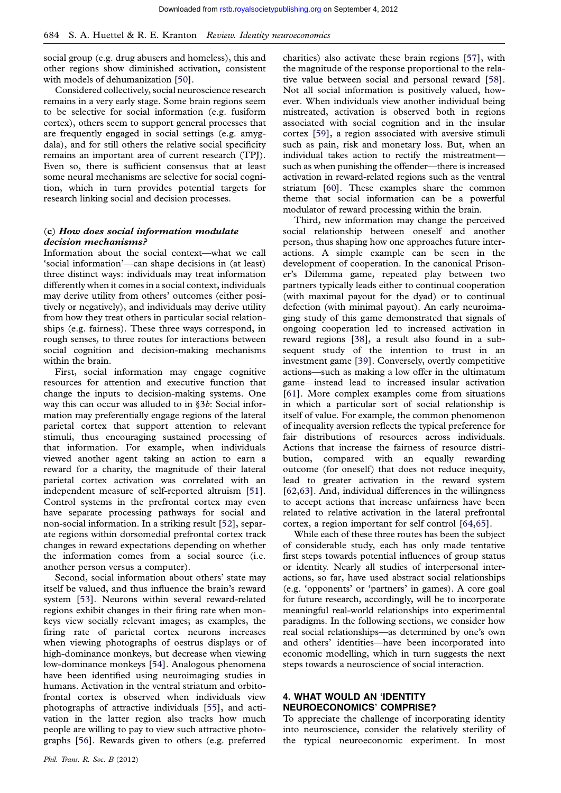social group (e.g. drug abusers and homeless), this and other regions show diminished activation, consistent with models of dehumanization [[50\]](#page-11-0).

Considered collectively, social neuroscience research remains in a very early stage. Some brain regions seem to be selective for social information (e.g. fusiform cortex), others seem to support general processes that are frequently engaged in social settings (e.g. amygdala), and for still others the relative social specificity remains an important area of current research (TPJ). Even so, there is sufficient consensus that at least some neural mechanisms are selective for social cognition, which in turn provides potential targets for research linking social and decision processes.

#### (c) How does social information modulate decision mechanisms?

Information about the social context—what we call 'social information'—can shape decisions in (at least) three distinct ways: individuals may treat information differently when it comes in a social context, individuals may derive utility from others' outcomes (either positively or negatively), and individuals may derive utility from how they treat others in particular social relationships (e.g. fairness). These three ways correspond, in rough senses, to three routes for interactions between social cognition and decision-making mechanisms within the brain.

First, social information may engage cognitive resources for attention and executive function that change the inputs to decision-making systems. One way this can occur was alluded to in §3b: Social information may preferentially engage regions of the lateral parietal cortex that support attention to relevant stimuli, thus encouraging sustained processing of that information. For example, when individuals viewed another agent taking an action to earn a reward for a charity, the magnitude of their lateral parietal cortex activation was correlated with an independent measure of self-reported altruism [[51\]](#page-11-0). Control systems in the prefrontal cortex may even have separate processing pathways for social and non-social information. In a striking result [[52\]](#page-11-0), separate regions within dorsomedial prefrontal cortex track changes in reward expectations depending on whether the information comes from a social source (i.e. another person versus a computer).

Second, social information about others' state may itself be valued, and thus influence the brain's reward system [[53\]](#page-11-0). Neurons within several reward-related regions exhibit changes in their firing rate when monkeys view socially relevant images; as examples, the firing rate of parietal cortex neurons increases when viewing photographs of oestrus displays or of high-dominance monkeys, but decrease when viewing low-dominance monkeys [\[54](#page-11-0)]. Analogous phenomena have been identified using neuroimaging studies in humans. Activation in the ventral striatum and orbitofrontal cortex is observed when individuals view photographs of attractive individuals [\[55\]](#page-11-0), and activation in the latter region also tracks how much people are willing to pay to view such attractive photographs [\[56](#page-11-0)]. Rewards given to others (e.g. preferred

charities) also activate these brain regions [\[57](#page-11-0)], with the magnitude of the response proportional to the relative value between social and personal reward [[58\]](#page-11-0). Not all social information is positively valued, however. When individuals view another individual being mistreated, activation is observed both in regions associated with social cognition and in the insular cortex [\[59](#page-11-0)], a region associated with aversive stimuli such as pain, risk and monetary loss. But, when an individual takes action to rectify the mistreatment such as when punishing the offender—there is increased activation in reward-related regions such as the ventral striatum [\[60\]](#page-11-0). These examples share the common theme that social information can be a powerful modulator of reward processing within the brain.

Third, new information may change the perceived social relationship between oneself and another person, thus shaping how one approaches future interactions. A simple example can be seen in the development of cooperation. In the canonical Prisoner's Dilemma game, repeated play between two partners typically leads either to continual cooperation (with maximal payout for the dyad) or to continual defection (with minimal payout). An early neuroimaging study of this game demonstrated that signals of ongoing cooperation led to increased activation in reward regions [\[38](#page-11-0)], a result also found in a subsequent study of the intention to trust in an investment game [[39](#page-11-0)]. Conversely, overtly competitive actions—such as making a low offer in the ultimatum game—instead lead to increased insular activation [\[61](#page-11-0)]. More complex examples come from situations in which a particular sort of social relationship is itself of value. For example, the common phenomenon of inequality aversion reflects the typical preference for fair distributions of resources across individuals. Actions that increase the fairness of resource distribution, compared with an equally rewarding outcome (for oneself) that does not reduce inequity, lead to greater activation in the reward system [\[62,63](#page-11-0)]. And, individual differences in the willingness to accept actions that increase unfairness have been related to relative activation in the lateral prefrontal cortex, a region important for self control [\[64,65](#page-11-0)].

While each of these three routes has been the subject of considerable study, each has only made tentative first steps towards potential influences of group status or identity. Nearly all studies of interpersonal interactions, so far, have used abstract social relationships (e.g. 'opponents' or 'partners' in games). A core goal for future research, accordingly, will be to incorporate meaningful real-world relationships into experimental paradigms. In the following sections, we consider how real social relationships—as determined by one's own and others' identities—have been incorporated into economic modelling, which in turn suggests the next steps towards a neuroscience of social interaction.

## 4. WHAT WOULD AN 'IDENTITY NEUROECONOMICS' COMPRISE?

To appreciate the challenge of incorporating identity into neuroscience, consider the relatively sterility of the typical neuroeconomic experiment. In most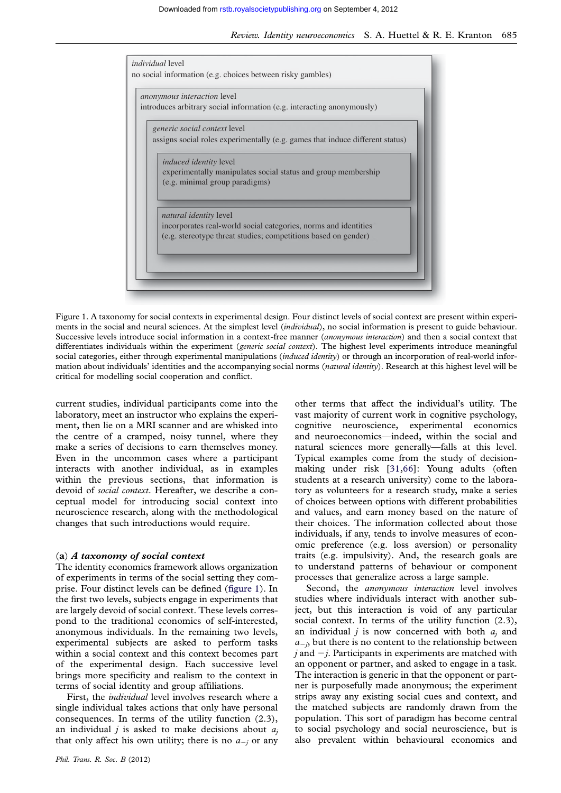

Figure 1. A taxonomy for social contexts in experimental design. Four distinct levels of social context are present within experiments in the social and neural sciences. At the simplest level (individual), no social information is present to guide behaviour. Successive levels introduce social information in a context-free manner (anonymous interaction) and then a social context that differentiates individuals within the experiment (*generic social context*). The highest level experiments introduce meaningful social categories, either through experimental manipulations *(induced identity)* or through an incorporation of real-world information about individuals' identities and the accompanying social norms (natural identity). Research at this highest level will be critical for modelling social cooperation and conflict.

current studies, individual participants come into the laboratory, meet an instructor who explains the experiment, then lie on a MRI scanner and are whisked into the centre of a cramped, noisy tunnel, where they make a series of decisions to earn themselves money. Even in the uncommon cases where a participant interacts with another individual, as in examples within the previous sections, that information is devoid of social context. Hereafter, we describe a conceptual model for introducing social context into neuroscience research, along with the methodological changes that such introductions would require.

#### (a) A taxonomy of social context

The identity economics framework allows organization of experiments in terms of the social setting they comprise. Four distinct levels can be defined (figure 1). In the first two levels, subjects engage in experiments that are largely devoid of social context. These levels correspond to the traditional economics of self-interested, anonymous individuals. In the remaining two levels, experimental subjects are asked to perform tasks within a social context and this context becomes part of the experimental design. Each successive level brings more specificity and realism to the context in terms of social identity and group affiliations.

First, the individual level involves research where a single individual takes actions that only have personal consequences. In terms of the utility function (2.3), an individual *j* is asked to make decisions about  $a_i$ that only affect his own utility; there is no  $a_{-i}$  or any

other terms that affect the individual's utility. The vast majority of current work in cognitive psychology, cognitive neuroscience, experimental economics and neuroeconomics—indeed, within the social and natural sciences more generally—falls at this level. Typical examples come from the study of decisionmaking under risk [[31,](#page-10-0)[66\]](#page-11-0): Young adults (often students at a research university) come to the laboratory as volunteers for a research study, make a series of choices between options with different probabilities and values, and earn money based on the nature of their choices. The information collected about those individuals, if any, tends to involve measures of economic preference (e.g. loss aversion) or personality traits (e.g. impulsivity). And, the research goals are to understand patterns of behaviour or component processes that generalize across a large sample.

Second, the *anonymous interaction* level involves studies where individuals interact with another subject, but this interaction is void of any particular social context. In terms of the utility function  $(2.3)$ , an individual  $j$  is now concerned with both  $a_j$  and  $a_{-j}$ , but there is no content to the relationship between  $j$  and  $-j$ . Participants in experiments are matched with an opponent or partner, and asked to engage in a task. The interaction is generic in that the opponent or partner is purposefully made anonymous; the experiment strips away any existing social cues and context, and the matched subjects are randomly drawn from the population. This sort of paradigm has become central to social psychology and social neuroscience, but is also prevalent within behavioural economics and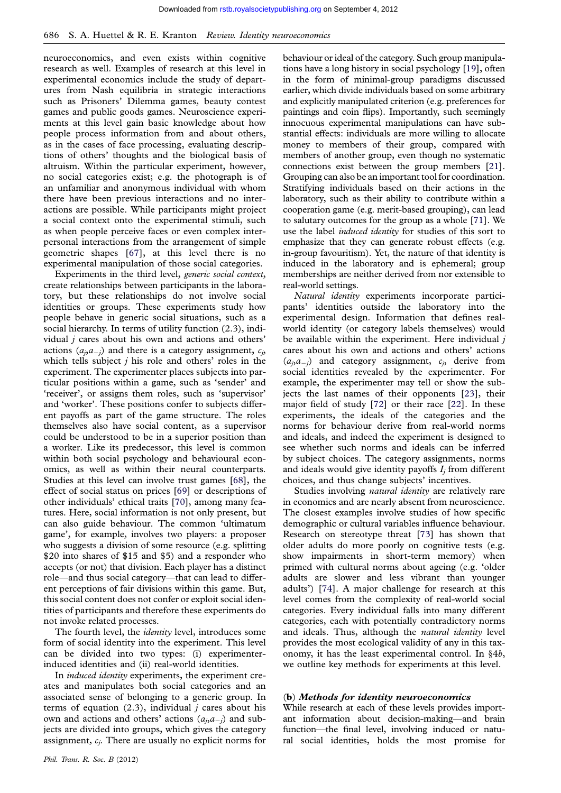neuroeconomics, and even exists within cognitive research as well. Examples of research at this level in experimental economics include the study of departures from Nash equilibria in strategic interactions such as Prisoners' Dilemma games, beauty contest games and public goods games. Neuroscience experiments at this level gain basic knowledge about how people process information from and about others, as in the cases of face processing, evaluating descriptions of others' thoughts and the biological basis of altruism. Within the particular experiment, however, no social categories exist; e.g. the photograph is of an unfamiliar and anonymous individual with whom there have been previous interactions and no interactions are possible. While participants might project a social context onto the experimental stimuli, such as when people perceive faces or even complex interpersonal interactions from the arrangement of simple geometric shapes [[67\]](#page-11-0), at this level there is no experimental manipulation of those social categories.

Experiments in the third level, generic social context, create relationships between participants in the laboratory, but these relationships do not involve social identities or groups. These experiments study how people behave in generic social situations, such as a social hierarchy. In terms of utility function (2.3), individual  $j$  cares about his own and actions and others' actions  $(a_j, a_{-j})$  and there is a category assignment,  $c_j$ , which tells subject  $j$  his role and others' roles in the experiment. The experimenter places subjects into particular positions within a game, such as 'sender' and 'receiver', or assigns them roles, such as 'supervisor' and 'worker'. These positions confer to subjects different payoffs as part of the game structure. The roles themselves also have social content, as a supervisor could be understood to be in a superior position than a worker. Like its predecessor, this level is common within both social psychology and behavioural economics, as well as within their neural counterparts. Studies at this level can involve trust games [\[68](#page-11-0)], the effect of social status on prices [[69\]](#page-11-0) or descriptions of other individuals' ethical traits [\[70](#page-11-0)], among many features. Here, social information is not only present, but can also guide behaviour. The common 'ultimatum game', for example, involves two players: a proposer who suggests a division of some resource (e.g. splitting \$20 into shares of \$15 and \$5) and a responder who accepts (or not) that division. Each player has a distinct role—and thus social category—that can lead to different perceptions of fair divisions within this game. But, this social content does not confer or exploit social identities of participants and therefore these experiments do not invoke related processes.

The fourth level, the *identity* level, introduces some form of social identity into the experiment. This level can be divided into two types: (i) experimenterinduced identities and (ii) real-world identities.

In induced identity experiments, the experiment creates and manipulates both social categories and an associated sense of belonging to a generic group. In terms of equation  $(2.3)$ , individual *j* cares about his own and actions and others' actions  $(a_j, a_{-j})$  and subjects are divided into groups, which gives the category assignment,  $c_j$ . There are usually no explicit norms for

Phil. Trans. R. Soc. B (2012)

behaviour or ideal of the category. Such group manipulations have a long history in social psychology [[19](#page-10-0)], often in the form of minimal-group paradigms discussed earlier, which divide individuals based on some arbitrary and explicitly manipulated criterion (e.g. preferences for paintings and coin flips). Importantly, such seemingly innocuous experimental manipulations can have substantial effects: individuals are more willing to allocate money to members of their group, compared with members of another group, even though no systematic connections exist between the group members [[21\]](#page-10-0). Grouping can also be an important tool for coordination. Stratifying individuals based on their actions in the laboratory, such as their ability to contribute within a cooperation game (e.g. merit-based grouping), can lead to salutary outcomes for the group as a whole [[71](#page-11-0)]. We use the label *induced identity* for studies of this sort to emphasize that they can generate robust effects (e.g. in-group favouritism). Yet, the nature of that identity is induced in the laboratory and is ephemeral; group memberships are neither derived from nor extensible to real-world settings.

Natural identity experiments incorporate participants' identities outside the laboratory into the experimental design. Information that defines realworld identity (or category labels themselves) would be available within the experiment. Here individual  $j$ cares about his own and actions and others' actions  $(a_j, a_{-j})$  and category assignment,  $c_j$ , derive from social identities revealed by the experimenter. For example, the experimenter may tell or show the subjects the last names of their opponents [[23\]](#page-10-0), their major field of study [\[72](#page-11-0)] or their race [[22\]](#page-10-0). In these experiments, the ideals of the categories and the norms for behaviour derive from real-world norms and ideals, and indeed the experiment is designed to see whether such norms and ideals can be inferred by subject choices. The category assignments, norms and ideals would give identity payoffs  $I_i$  from different choices, and thus change subjects' incentives.

Studies involving *natural identity* are relatively rare in economics and are nearly absent from neuroscience. The closest examples involve studies of how specific demographic or cultural variables influence behaviour. Research on stereotype threat [[73\]](#page-11-0) has shown that older adults do more poorly on cognitive tests (e.g. show impairments in short-term memory) when primed with cultural norms about ageing (e.g. 'older adults are slower and less vibrant than younger adults') [[74\]](#page-11-0). A major challenge for research at this level comes from the complexity of real-world social categories. Every individual falls into many different categories, each with potentially contradictory norms and ideals. Thus, although the natural identity level provides the most ecological validity of any in this taxonomy, it has the least experimental control. In §4b, we outline key methods for experiments at this level.

#### (b) Methods for identity neuroeconomics

While research at each of these levels provides important information about decision-making—and brain function—the final level, involving induced or natural social identities, holds the most promise for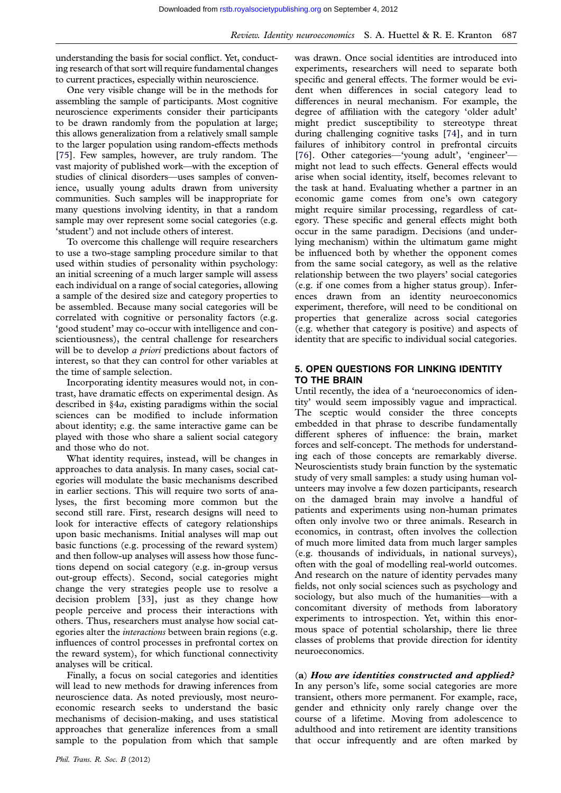understanding the basis for social conflict. Yet, conducting research of that sort will require fundamental changes to current practices, especially within neuroscience.

One very visible change will be in the methods for assembling the sample of participants. Most cognitive neuroscience experiments consider their participants to be drawn randomly from the population at large; this allows generalization from a relatively small sample to the larger population using random-effects methods [[75\]](#page-12-0). Few samples, however, are truly random. The vast majority of published work—with the exception of studies of clinical disorders—uses samples of convenience, usually young adults drawn from university communities. Such samples will be inappropriate for many questions involving identity, in that a random sample may over represent some social categories (e.g. 'student') and not include others of interest.

To overcome this challenge will require researchers to use a two-stage sampling procedure similar to that used within studies of personality within psychology: an initial screening of a much larger sample will assess each individual on a range of social categories, allowing a sample of the desired size and category properties to be assembled. Because many social categories will be correlated with cognitive or personality factors (e.g. 'good student' may co-occur with intelligence and conscientiousness), the central challenge for researchers will be to develop *a priori* predictions about factors of interest, so that they can control for other variables at the time of sample selection.

Incorporating identity measures would not, in contrast, have dramatic effects on experimental design. As described in §4a, existing paradigms within the social sciences can be modified to include information about identity; e.g. the same interactive game can be played with those who share a salient social category and those who do not.

What identity requires, instead, will be changes in approaches to data analysis. In many cases, social categories will modulate the basic mechanisms described in earlier sections. This will require two sorts of analyses, the first becoming more common but the second still rare. First, research designs will need to look for interactive effects of category relationships upon basic mechanisms. Initial analyses will map out basic functions (e.g. processing of the reward system) and then follow-up analyses will assess how those functions depend on social category (e.g. in-group versus out-group effects). Second, social categories might change the very strategies people use to resolve a decision problem [\[33](#page-10-0)], just as they change how people perceive and process their interactions with others. Thus, researchers must analyse how social categories alter the interactions between brain regions (e.g. influences of control processes in prefrontal cortex on the reward system), for which functional connectivity analyses will be critical.

Finally, a focus on social categories and identities will lead to new methods for drawing inferences from neuroscience data. As noted previously, most neuroeconomic research seeks to understand the basic mechanisms of decision-making, and uses statistical approaches that generalize inferences from a small sample to the population from which that sample

was drawn. Once social identities are introduced into experiments, researchers will need to separate both specific and general effects. The former would be evident when differences in social category lead to differences in neural mechanism. For example, the degree of affiliation with the category 'older adult' might predict susceptibility to stereotype threat during challenging cognitive tasks [[74\]](#page-11-0), and in turn failures of inhibitory control in prefrontal circuits [[76\]](#page-12-0). Other categories—'young adult', 'engineer' might not lead to such effects. General effects would arise when social identity, itself, becomes relevant to the task at hand. Evaluating whether a partner in an economic game comes from one's own category might require similar processing, regardless of category. These specific and general effects might both occur in the same paradigm. Decisions (and underlying mechanism) within the ultimatum game might be influenced both by whether the opponent comes from the same social category, as well as the relative relationship between the two players' social categories (e.g. if one comes from a higher status group). Inferences drawn from an identity neuroeconomics experiment, therefore, will need to be conditional on properties that generalize across social categories (e.g. whether that category is positive) and aspects of identity that are specific to individual social categories.

#### 5. OPEN QUESTIONS FOR LINKING IDENTITY TO THE BRAIN

Until recently, the idea of a 'neuroeconomics of identity' would seem impossibly vague and impractical. The sceptic would consider the three concepts embedded in that phrase to describe fundamentally different spheres of influence: the brain, market forces and self-concept. The methods for understanding each of those concepts are remarkably diverse. Neuroscientists study brain function by the systematic study of very small samples: a study using human volunteers may involve a few dozen participants, research on the damaged brain may involve a handful of patients and experiments using non-human primates often only involve two or three animals. Research in economics, in contrast, often involves the collection of much more limited data from much larger samples (e.g. thousands of individuals, in national surveys), often with the goal of modelling real-world outcomes. And research on the nature of identity pervades many fields, not only social sciences such as psychology and sociology, but also much of the humanities—with a concomitant diversity of methods from laboratory experiments to introspection. Yet, within this enormous space of potential scholarship, there lie three classes of problems that provide direction for identity neuroeconomics.

#### (a) How are identities constructed and applied?

In any person's life, some social categories are more transient, others more permanent. For example, race, gender and ethnicity only rarely change over the course of a lifetime. Moving from adolescence to adulthood and into retirement are identity transitions that occur infrequently and are often marked by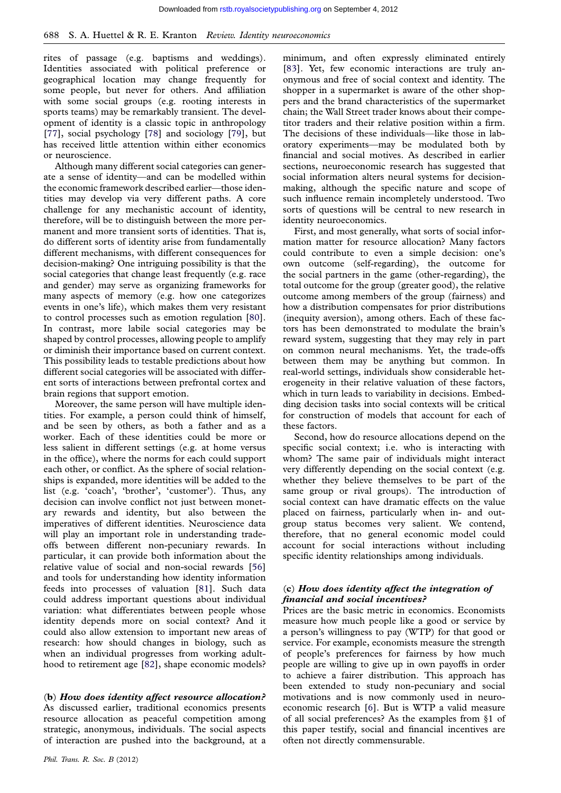rites of passage (e.g. baptisms and weddings). Identities associated with political preference or geographical location may change frequently for some people, but never for others. And affiliation with some social groups (e.g. rooting interests in sports teams) may be remarkably transient. The development of identity is a classic topic in anthropology [\[77](#page-12-0)], social psychology [\[78](#page-12-0)] and sociology [\[79](#page-12-0)], but has received little attention within either economics or neuroscience.

Although many different social categories can generate a sense of identity—and can be modelled within the economic framework described earlier—those identities may develop via very different paths. A core challenge for any mechanistic account of identity, therefore, will be to distinguish between the more permanent and more transient sorts of identities. That is, do different sorts of identity arise from fundamentally different mechanisms, with different consequences for decision-making? One intriguing possibility is that the social categories that change least frequently (e.g. race and gender) may serve as organizing frameworks for many aspects of memory (e.g. how one categorizes events in one's life), which makes them very resistant to control processes such as emotion regulation [[80\]](#page-12-0). In contrast, more labile social categories may be shaped by control processes, allowing people to amplify or diminish their importance based on current context. This possibility leads to testable predictions about how different social categories will be associated with different sorts of interactions between prefrontal cortex and brain regions that support emotion.

Moreover, the same person will have multiple identities. For example, a person could think of himself, and be seen by others, as both a father and as a worker. Each of these identities could be more or less salient in different settings (e.g. at home versus in the office), where the norms for each could support each other, or conflict. As the sphere of social relationships is expanded, more identities will be added to the list (e.g. 'coach', 'brother', 'customer'). Thus, any decision can involve conflict not just between monetary rewards and identity, but also between the imperatives of different identities. Neuroscience data will play an important role in understanding tradeoffs between different non-pecuniary rewards. In particular, it can provide both information about the relative value of social and non-social rewards [\[56\]](#page-11-0) and tools for understanding how identity information feeds into processes of valuation [[81](#page-12-0)]. Such data could address important questions about individual variation: what differentiates between people whose identity depends more on social context? And it could also allow extension to important new areas of research: how should changes in biology, such as when an individual progresses from working adulthood to retirement age [\[82](#page-12-0)], shape economic models?

(b) How does identity affect resource allocation? As discussed earlier, traditional economics presents resource allocation as peaceful competition among strategic, anonymous, individuals. The social aspects of interaction are pushed into the background, at a

chain; the Wall Street trader knows about their competitor traders and their relative position within a firm. The decisions of these individuals—like those in laboratory experiments—may be modulated both by financial and social motives. As described in earlier sections, neuroeconomic research has suggested that social information alters neural systems for decisionmaking, although the specific nature and scope of such influence remain incompletely understood. Two sorts of questions will be central to new research in identity neuroeconomics. First, and most generally, what sorts of social information matter for resource allocation? Many factors

could contribute to even a simple decision: one's own outcome (self-regarding), the outcome for the social partners in the game (other-regarding), the total outcome for the group (greater good), the relative outcome among members of the group (fairness) and how a distribution compensates for prior distributions (inequity aversion), among others. Each of these factors has been demonstrated to modulate the brain's reward system, suggesting that they may rely in part on common neural mechanisms. Yet, the trade-offs between them may be anything but common. In real-world settings, individuals show considerable heterogeneity in their relative valuation of these factors, which in turn leads to variability in decisions. Embedding decision tasks into social contexts will be critical for construction of models that account for each of these factors.

minimum, and often expressly eliminated entirely [\[83](#page-12-0)]. Yet, few economic interactions are truly anonymous and free of social context and identity. The shopper in a supermarket is aware of the other shoppers and the brand characteristics of the supermarket

Second, how do resource allocations depend on the specific social context; i.e. who is interacting with whom? The same pair of individuals might interact very differently depending on the social context (e.g. whether they believe themselves to be part of the same group or rival groups). The introduction of social context can have dramatic effects on the value placed on fairness, particularly when in- and outgroup status becomes very salient. We contend, therefore, that no general economic model could account for social interactions without including specific identity relationships among individuals.

#### (c) How does identity affect the integration of financial and social incentives?

Prices are the basic metric in economics. Economists measure how much people like a good or service by a person's willingness to pay (WTP) for that good or service. For example, economists measure the strength of people's preferences for fairness by how much people are willing to give up in own payoffs in order to achieve a fairer distribution. This approach has been extended to study non-pecuniary and social motivations and is now commonly used in neuroeconomic research [\[6\]](#page-10-0). But is WTP a valid measure of all social preferences? As the examples from §1 of this paper testify, social and financial incentives are often not directly commensurable.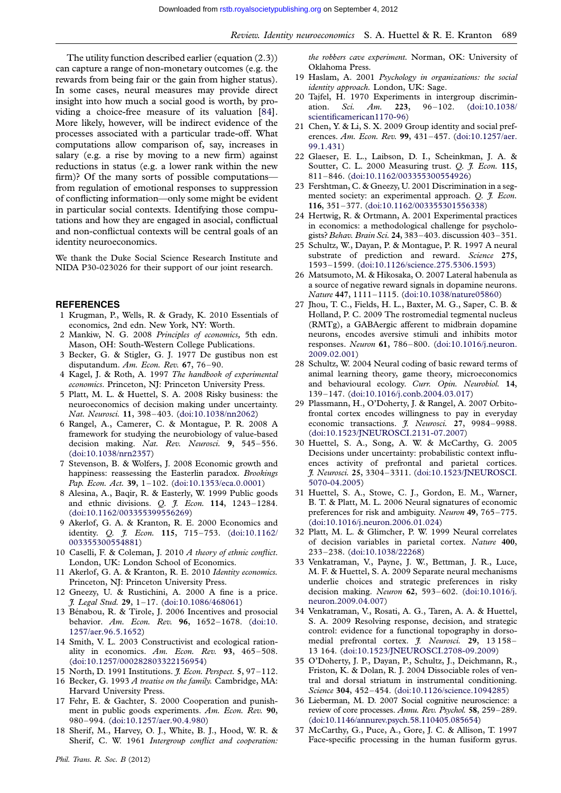<span id="page-10-0"></span>The utility function described earlier (equation (2.3)) can capture a range of non-monetary outcomes (e.g. the rewards from being fair or the gain from higher status). In some cases, neural measures may provide direct insight into how much a social good is worth, by providing a choice-free measure of its valuation [[84](#page-12-0)]. More likely, however, will be indirect evidence of the processes associated with a particular trade-off. What computations allow comparison of, say, increases in salary (e.g. a rise by moving to a new firm) against reductions in status (e.g. a lower rank within the new firm)? Of the many sorts of possible computationsfrom regulation of emotional responses to suppression of conflicting information—only some might be evident in particular social contexts. Identifying those computations and how they are engaged in asocial, conflictual and non-conflictual contexts will be central goals of an identity neuroeconomics.

We thank the Duke Social Science Research Institute and NIDA P30-023026 for their support of our joint research.

#### **REFERENCES**

- 1 Krugman, P., Wells, R. & Grady, K. 2010 Essentials of economics, 2nd edn. New York, NY: Worth.
- 2 Mankiw, N. G. 2008 Principles of economics, 5th edn. Mason, OH: South-Western College Publications.
- 3 Becker, G. & Stigler, G. J. 1977 De gustibus non est disputandum. Am. Econ. Rev.  $67, 76-90$ .
- 4 Kagel, J. & Roth, A. 1997 The handbook of experimental economics. Princeton, NJ: Princeton University Press.
- 5 Platt, M. L. & Huettel, S. A. 2008 Risky business: the neuroeconomics of decision making under uncertainty. Nat. Neurosci. 11, 398 –403. ([doi:10.1038/nn2062\)](http://dx.doi.org/10.1038/nn2062)
- 6 Rangel, A., Camerer, C. & Montague, P. R. 2008 A framework for studying the neurobiology of value-based decision making. Nat. Rev. Neurosci. 9, 545-556. [\(doi:10.1038/nrn2357](http://dx.doi.org/10.1038/nrn2357))
- 7 Stevenson, B. & Wolfers, J. 2008 Economic growth and happiness: reassessing the Easterlin paradox. *Brookings* Pap. Econ. Act. 39, 1-102. [\(doi:10.1353/eca.0.0001](http://dx.doi.org/10.1353/eca.0.0001))
- 8 Alesina, A., Baqir, R. & Easterly, W. 1999 Public goods and ethnic divisions. Q. *J. Econ*. 114, 1243-1284. [\(doi:10.1162/003355399556269\)](http://dx.doi.org/10.1162/003355399556269)
- Akerlof, G. A. & Kranton, R. E. 2000 Economics and identity. Q. J. Econ. 115, 715–753. ([doi:10.1162/](http://dx.doi.org/10.1162/003355300554881) [003355300554881](http://dx.doi.org/10.1162/003355300554881))
- 10 Caselli, F. & Coleman, J. 2010 A theory of ethnic conflict. London, UK: London School of Economics.
- 11 Akerlof, G. A. & Kranton, R. E. 2010 Identity economics. Princeton, NJ: Princeton University Press.
- 12 Gneezy, U. & Rustichini, A. 2000 A fine is a price. J. Legal Stud. 29, 1–17. [\(doi:10.1086/468061](http://dx.doi.org/10.1086/468061))
- 13 Bénabou, R. & Tirole, J. 2006 Incentives and prosocial behavior. Am. Econ. Rev. 96, 1652–1678. [\(doi:10.](http://dx.doi.org/10.1257/aer.96.5.1652) [1257/aer.96.5.1652](http://dx.doi.org/10.1257/aer.96.5.1652))
- 14 Smith, V. L. 2003 Constructivist and ecological rationality in economics. Am. Econ. Rev. 93, 465-508. ([doi:10.1257/000282803322156954](http://dx.doi.org/10.1257/000282803322156954))
- 15 North, D. 1991 Institutions. *J. Econ. Perspect.* 5, 97-112.
- 16 Becker, G. 1993 A treatise on the family. Cambridge, MA: Harvard University Press.
- 17 Fehr, E. & Gachter, S. 2000 Cooperation and punishment in public goods experiments. Am. Econ. Rev. 90, 980 –994. ([doi:10.1257/aer.90.4.980](http://dx.doi.org/10.1257/aer.90.4.980))
- 18 Sherif, M., Harvey, O. J., White, B. J., Hood, W. R. & Sherif, C. W. 1961 Intergroup conflict and cooperation:

the robbers cave experiment. Norman, OK: University of Oklahoma Press.

- 19 Haslam, A. 2001 Psychology in organizations: the social identity approach. London, UK: Sage.
- 20 Tajfel, H. 1970 Experiments in intergroup discrimination. Sci. Am. 223, 96–102. ([doi:10.1038/](http://dx.doi.org/10.1038/scientificamerican1170-96) [scientificamerican1170-96\)](http://dx.doi.org/10.1038/scientificamerican1170-96)
- 21 Chen, Y. & Li, S. X. 2009 Group identity and social preferences. Am. Econ. Rev. 99, 431–457. ([doi:10.1257/aer.](http://dx.doi.org/10.1257/aer.99.1.431) [99.1.431](http://dx.doi.org/10.1257/aer.99.1.431))
- 22 Glaeser, E. L., Laibson, D. I., Scheinkman, J. A. & Soutter, C. L. 2000 Measuring trust. *O. J. Econ.* 115, 811 –846. ([doi:10.1162/003355300554926](http://dx.doi.org/10.1162/003355300554926))
- 23 Fershtman, C. & Gneezy, U. 2001 Discrimination in a segmented society: an experimental approach. O. F. Econ. 116, 351–377. ([doi:10.1162/003355301556338\)](http://dx.doi.org/10.1162/003355301556338)
- 24 Hertwig, R. & Ortmann, A. 2001 Experimental practices in economics: a methodological challenge for psychologists? Behav. Brain Sci. 24, 383–403. discussion 403–351.
- 25 Schultz, W., Dayan, P. & Montague, P. R. 1997 A neural substrate of prediction and reward. Science 275, 1593 –1599. ([doi:10.1126/science.275.5306.1593](http://dx.doi.org/10.1126/science.275.5306.1593))
- 26 Matsumoto, M. & Hikosaka, O. 2007 Lateral habenula as a source of negative reward signals in dopamine neurons. Nature 447, 1111–1115. ([doi:10.1038/nature05860](http://dx.doi.org/10.1038/nature05860))
- 27 Jhou, T. C., Fields, H. L., Baxter, M. G., Saper, C. B. & Holland, P. C. 2009 The rostromedial tegmental nucleus (RMTg), a GABAergic afferent to midbrain dopamine neurons, encodes aversive stimuli and inhibits motor responses. Neuron 61, 786-800. ([doi:10.1016/j.neuron.](http://dx.doi.org/10.1016/j.neuron.2009.02.001) [2009.02.001](http://dx.doi.org/10.1016/j.neuron.2009.02.001))
- 28 Schultz, W. 2004 Neural coding of basic reward terms of animal learning theory, game theory, microeconomics and behavioural ecology. Curr. Opin. Neurobiol. 14, 139 –147. ([doi:10.1016/j.conb.2004.03.017](http://dx.doi.org/10.1016/j.conb.2004.03.017))
- 29 Plassmann, H., O'Doherty, J. & Rangel, A. 2007 Orbitofrontal cortex encodes willingness to pay in everyday economic transactions. *J. Neurosci.* 27, 9984-9988. ([doi:10.1523/JNEUROSCI.2131-07.2007\)](http://dx.doi.org/10.1523/JNEUROSCI.2131-07.2007)
- 30 Huettel, S. A., Song, A. W. & McCarthy, G. 2005 Decisions under uncertainty: probabilistic context influences activity of prefrontal and parietal cortices. J. Neurosci. 25, 3304–3311. ([doi:10.1523/JNEUROSCI.](http://dx.doi.org/10.1523/JNEUROSCI.5070-04.2005) [5070-04.2005\)](http://dx.doi.org/10.1523/JNEUROSCI.5070-04.2005)
- 31 Huettel, S. A., Stowe, C. J., Gordon, E. M., Warner, B. T. & Platt, M. L. 2006 Neural signatures of economic preferences for risk and ambiguity. Neuron 49, 765-775. ([doi:10.1016/j.neuron.2006.01.024](http://dx.doi.org/10.1016/j.neuron.2006.01.024))
- 32 Platt, M. L. & Glimcher, P. W. 1999 Neural correlates of decision variables in parietal cortex. Nature 400, 233 –238. ([doi:10.1038/22268](http://dx.doi.org/10.1038/22268))
- 33 Venkatraman, V., Payne, J. W., Bettman, J. R., Luce, M. F. & Huettel, S. A. 2009 Separate neural mechanisms underlie choices and strategic preferences in risky decision making. Neuron 62, 593–602. [\(doi:10.1016/j.](http://dx.doi.org/10.1016/j.neuron.2009.04.007) [neuron.2009.04.007\)](http://dx.doi.org/10.1016/j.neuron.2009.04.007)
- 34 Venkatraman, V., Rosati, A. G., Taren, A. A. & Huettel, S. A. 2009 Resolving response, decision, and strategic control: evidence for a functional topography in dorsomedial prefrontal cortex. *J. Neurosci*. **29**, 13 158– 13 164. [\(doi:10.1523/JNEUROSCI.2708-09.2009](http://dx.doi.org/10.1523/JNEUROSCI.2708-09.2009))
- 35 O'Doherty, J. P., Dayan, P., Schultz, J., Deichmann, R., Friston, K. & Dolan, R. J. 2004 Dissociable roles of ventral and dorsal striatum in instrumental conditioning. Science 304, 452–454. ([doi:10.1126/science.1094285](http://dx.doi.org/10.1126/science.1094285))
- 36 Lieberman, M. D. 2007 Social cognitive neuroscience: a review of core processes. Annu. Rev. Psychol. 58, 259–289. ([doi:10.1146/annurev.psych.58.110405.085654](http://dx.doi.org/10.1146/annurev.psych.58.110405.085654))
- 37 McCarthy, G., Puce, A., Gore, J. C. & Allison, T. 1997 Face-specific processing in the human fusiform gyrus.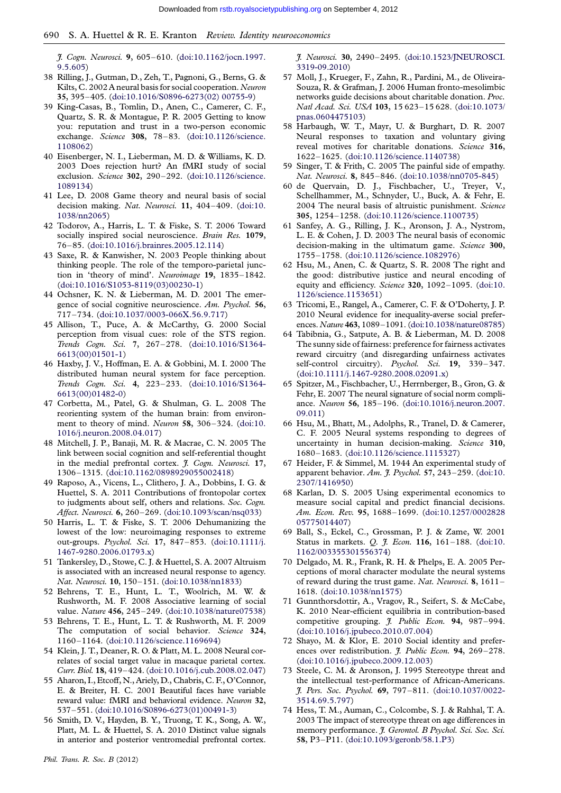<span id="page-11-0"></span>690 S. A. Huettel & R. E. Kranton Review. Identity neuroeconomics

J. Cogn. Neurosci. 9, 605–610. ([doi:10.1162/jocn.1997.](http://dx.doi.org/10.1162/jocn.1997.9.5.605) [9.5.605\)](http://dx.doi.org/10.1162/jocn.1997.9.5.605)

- 38 Rilling, J., Gutman, D., Zeh, T., Pagnoni, G., Berns, G. & Kilts, C. 2002 A neural basis for social cooperation. Neuron 35, 395–405. [\(doi:10.1016/S0896-6273\(02\) 00755-9](http://dx.doi.org/10.1016/S0896-6273(02)00755-9))
- 39 King-Casas, B., Tomlin, D., Anen, C., Camerer, C. F., Quartz, S. R. & Montague, P. R. 2005 Getting to know you: reputation and trust in a two-person economic exchange. Science 308, 78–83. ([doi:10.1126/science.](http://dx.doi.org/10.1126/science.1108062) [1108062](http://dx.doi.org/10.1126/science.1108062))
- 40 Eisenberger, N. I., Lieberman, M. D. & Williams, K. D. 2003 Does rejection hurt? An fMRI study of social exclusion. Science 302, 290–292. ([doi:10.1126/science.](http://dx.doi.org/10.1126/science.1089134) [1089134](http://dx.doi.org/10.1126/science.1089134))
- 41 Lee, D. 2008 Game theory and neural basis of social decision making. Nat. Neurosci. 11, 404-409. ([doi:10.](http://dx.doi.org/10.1038/nn2065) [1038/nn2065](http://dx.doi.org/10.1038/nn2065))
- 42 Todorov, A., Harris, L. T. & Fiske, S. T. 2006 Toward socially inspired social neuroscience. Brain Res. 1079, 76–85. ([doi:10.1016/j.brainres.2005.12.114\)](http://dx.doi.org/10.1016/j.brainres.2005.12.114)
- 43 Saxe, R. & Kanwisher, N. 2003 People thinking about thinking people. The role of the temporo-parietal junction in 'theory of mind'. Neuroimage 19, 1835–1842. [\(doi:10.1016/S1053-8119\(03\)00230-1](http://dx.doi.org/10.1016/S1053-8119(03)00230-1))
- 44 Ochsner, K. N. & Lieberman, M. D. 2001 The emergence of social cognitive neuroscience. Am. Psychol. 56, 717–734. ([doi:10.1037/0003-066X.56.9.717\)](http://dx.doi.org/10.1037/0003-066X.56.9.717)
- 45 Allison, T., Puce, A. & McCarthy, G. 2000 Social perception from visual cues: role of the STS region. Trends Cogn. Sci. 7, 267–278. ([doi:10.1016/S1364-](http://dx.doi.org/10.1016/S1364-6613(00)01501-1) [6613\(00\)01501-1\)](http://dx.doi.org/10.1016/S1364-6613(00)01501-1)
- 46 Haxby, J. V., Hoffman, E. A. & Gobbini, M. I. 2000 The distributed human neural system for face perception. Trends Cogn. Sci. 4, 223–233. ([doi:10.1016/S1364-](http://dx.doi.org/10.1016/S1364-6613(00)01482-0) [6613\(00\)01482-0\)](http://dx.doi.org/10.1016/S1364-6613(00)01482-0)
- 47 Corbetta, M., Patel, G. & Shulman, G. L. 2008 The reorienting system of the human brain: from environment to theory of mind. Neuron 58, 306-324. ([doi:10.](http://dx.doi.org/10.1016/j.neuron.2008.04.017) [1016/j.neuron.2008.04.017](http://dx.doi.org/10.1016/j.neuron.2008.04.017))
- 48 Mitchell, J. P., Banaji, M. R. & Macrae, C. N. 2005 The link between social cognition and self-referential thought in the medial prefrontal cortex. *J. Cogn. Neurosci.* 17, 1306–1315. ([doi:10.1162/0898929055002418](http://dx.doi.org/10.1162/0898929055002418))
- 49 Raposo, A., Vicens, L., Clithero, J. A., Dobbins, I. G. & Huettel, S. A. 2011 Contributions of frontopolar cortex to judgments about self, others and relations. Soc. Cogn. Affect. Neurosci. 6, 260–269. [\(doi:10.1093/scan/nsq033\)](http://dx.doi.org/10.1093/scan/nsq033)
- 50 Harris, L. T. & Fiske, S. T. 2006 Dehumanizing the lowest of the low: neuroimaging responses to extreme out-groups. Psychol. Sci. 17, 847–853. [\(doi:10.1111/j.](http://dx.doi.org/10.1111/j.1467-9280.2006.01793.x) [1467-9280.2006.01793.x\)](http://dx.doi.org/10.1111/j.1467-9280.2006.01793.x)
- 51 Tankersley, D., Stowe, C. J. & Huettel, S. A. 2007 Altruism is associated with an increased neural response to agency. Nat. Neurosci. 10, 150–151. ([doi:10.1038/nn1833\)](http://dx.doi.org/10.1038/nn1833)
- 52 Behrens, T. E., Hunt, L. T., Woolrich, M. W. & Rushworth, M. F. 2008 Associative learning of social value. Nature 456, 245–249. ([doi:10.1038/nature07538\)](http://dx.doi.org/10.1038/nature07538)
- 53 Behrens, T. E., Hunt, L. T. & Rushworth, M. F. 2009 The computation of social behavior. Science 324, 1160–1164. ([doi:10.1126/science.1169694](http://dx.doi.org/10.1126/science.1169694))
- 54 Klein, J. T., Deaner, R. O. & Platt, M. L. 2008 Neural correlates of social target value in macaque parietal cortex. Curr. Biol. 18, 419–424. [\(doi:10.1016/j.cub.2008.02.047\)](http://dx.doi.org/10.1016/j.cub.2008.02.047)
- 55 Aharon, I., Etcoff, N., Ariely, D., Chabris, C. F., O'Connor, E. & Breiter, H. C. 2001 Beautiful faces have variable reward value: fMRI and behavioral evidence. Neuron 32, 537–551. [\(doi:10.1016/S0896-6273\(01\)00491-3](http://dx.doi.org/10.1016/S0896-6273(01)00491-3))
- 56 Smith, D. V., Hayden, B. Y., Truong, T. K., Song, A. W., Platt, M. L. & Huettel, S. A. 2010 Distinct value signals in anterior and posterior ventromedial prefrontal cortex.

J. Neurosci. 30, 2490–2495. ([doi:10.1523/JNEUROSCI.](http://dx.doi.org/10.1523/JNEUROSCI.3319-09.2010) [3319-09.2010\)](http://dx.doi.org/10.1523/JNEUROSCI.3319-09.2010)

- 57 Moll, J., Krueger, F., Zahn, R., Pardini, M., de Oliveira-Souza, R. & Grafman, J. 2006 Human fronto-mesolimbic networks guide decisions about charitable donation. Proc. Natl Acad. Sci. USA 103, 15 623–15 628. [\(doi:10.1073/](http://dx.doi.org/10.1073/pnas.0604475103) [pnas.0604475103\)](http://dx.doi.org/10.1073/pnas.0604475103)
- 58 Harbaugh, W. T., Mayr, U. & Burghart, D. R. 2007 Neural responses to taxation and voluntary giving reveal motives for charitable donations. Science 316, 1622–1625. ([doi:10.1126/science.1140738](http://dx.doi.org/10.1126/science.1140738))
- 59 Singer, T. & Frith, C. 2005 The painful side of empathy. Nat. Neurosci. 8, 845 –846. ([doi:10.1038/nn0705-845](http://dx.doi.org/10.1038/nn0705-845))
- 60 de Quervain, D. J., Fischbacher, U., Treyer, V., Schellhammer, M., Schnyder, U., Buck, A. & Fehr, E. 2004 The neural basis of altruistic punishment. Science 305, 1254–1258. [\(doi:10.1126/science.1100735\)](http://dx.doi.org/10.1126/science.1100735)
- 61 Sanfey, A. G., Rilling, J. K., Aronson, J. A., Nystrom, L. E. & Cohen, J. D. 2003 The neural basis of economic decision-making in the ultimatum game. Science 300, 1755–1758. ([doi:10.1126/science.1082976](http://dx.doi.org/10.1126/science.1082976))
- 62 Hsu, M., Anen, C. & Quartz, S. R. 2008 The right and the good: distributive justice and neural encoding of equity and efficiency. Science 320, 1092-1095. ([doi:10.](http://dx.doi.org/10.1126/science.1153651) [1126/science.1153651](http://dx.doi.org/10.1126/science.1153651))
- 63 Tricomi, E., Rangel, A., Camerer, C. F. & O'Doherty, J. P. 2010 Neural evidence for inequality-averse social preferences. Nature 463, 1089–1091. [\(doi:10.1038/nature08785\)](http://dx.doi.org/10.1038/nature08785)
- 64 Tabibnia, G., Satpute, A. B. & Lieberman, M. D. 2008 The sunny side of fairness: preference for fairness activates reward circuitry (and disregarding unfairness activates self-control circuitry). Psychol. Sci. 19, 339-347. [\(doi:10.1111/j.1467-9280.2008.02091.x\)](http://dx.doi.org/10.1111/j.1467-9280.2008.02091.x)
- 65 Spitzer, M., Fischbacher, U., Herrnberger, B., Gron, G. & Fehr, E. 2007 The neural signature of social norm compliance. Neuron 56, 185–196. ([doi:10.1016/j.neuron.2007.](http://dx.doi.org/10.1016/j.neuron.2007.09.011) [09.011\)](http://dx.doi.org/10.1016/j.neuron.2007.09.011)
- 66 Hsu, M., Bhatt, M., Adolphs, R., Tranel, D. & Camerer, C. F. 2005 Neural systems responding to degrees of uncertainty in human decision-making. Science 310, 1680–1683. ([doi:10.1126/science.1115327](http://dx.doi.org/10.1126/science.1115327))
- 67 Heider, F. & Simmel, M. 1944 An experimental study of apparent behavior. Am. *J. Psychol.* 57, 243-259. ([doi:10.](http://dx.doi.org/10.2307/1416950) [2307/1416950\)](http://dx.doi.org/10.2307/1416950)
- 68 Karlan, D. S. 2005 Using experimental economics to measure social capital and predict financial decisions. Am. Econ. Rev. 95, 1688–1699. ([doi:10.1257/0002828](http://dx.doi.org/10.1257/000282805775014407) [05775014407](http://dx.doi.org/10.1257/000282805775014407))
- 69 Ball, S., Eckel, C., Grossman, P. J. & Zame, W. 2001 Status in markets. *Q. J. Econ.* 116, 161-188. ([doi:10.](http://dx.doi.org/10.1162/003355301556374) [1162/003355301556374\)](http://dx.doi.org/10.1162/003355301556374)
- 70 Delgado, M. R., Frank, R. H. & Phelps, E. A. 2005 Perceptions of moral character modulate the neural systems of reward during the trust game. Nat. Neurosci. 8, 1611– 1618. ([doi:10.1038/nn1575\)](http://dx.doi.org/10.1038/nn1575)
- 71 Gunnthorsdottir, A., Vragov, R., Seifert, S. & McCabe, K. 2010 Near-efficient equilibria in contribution-based competitive grouping. J. Public Econ. 94, 987-994. [\(doi:10.1016/j.jpubeco.2010.07.004](http://dx.doi.org/10.1016/j.jpubeco.2010.07.004))
- 72 Shayo, M. & Klor, E. 2010 Social identity and preferences over redistribution. *J. Public Econ*. **94**, 269-278. [\(doi:10.1016/j.jpubeco.2009.12.003](http://dx.doi.org/10.1016/j.jpubeco.2009.12.003))
- 73 Steele, C. M. & Aronson, J. 1995 Stereotype threat and the intellectual test-performance of African-Americans. J. Pers. Soc. Psychol. 69, 797 –811. [\(doi:10.1037/0022-](http://dx.doi.org/10.1037/0022-3514.69.5.797) [3514.69.5.797](http://dx.doi.org/10.1037/0022-3514.69.5.797))
- 74 Hess, T. M., Auman, C., Colcombe, S. J. & Rahhal, T. A. 2003 The impact of stereotype threat on age differences in memory performance. J. Gerontol. B Psychol. Sci. Soc. Sci. 58, P3–P11. ([doi:10.1093/geronb/58.1.P3](http://dx.doi.org/10.1093/geronb/58.1.P3))